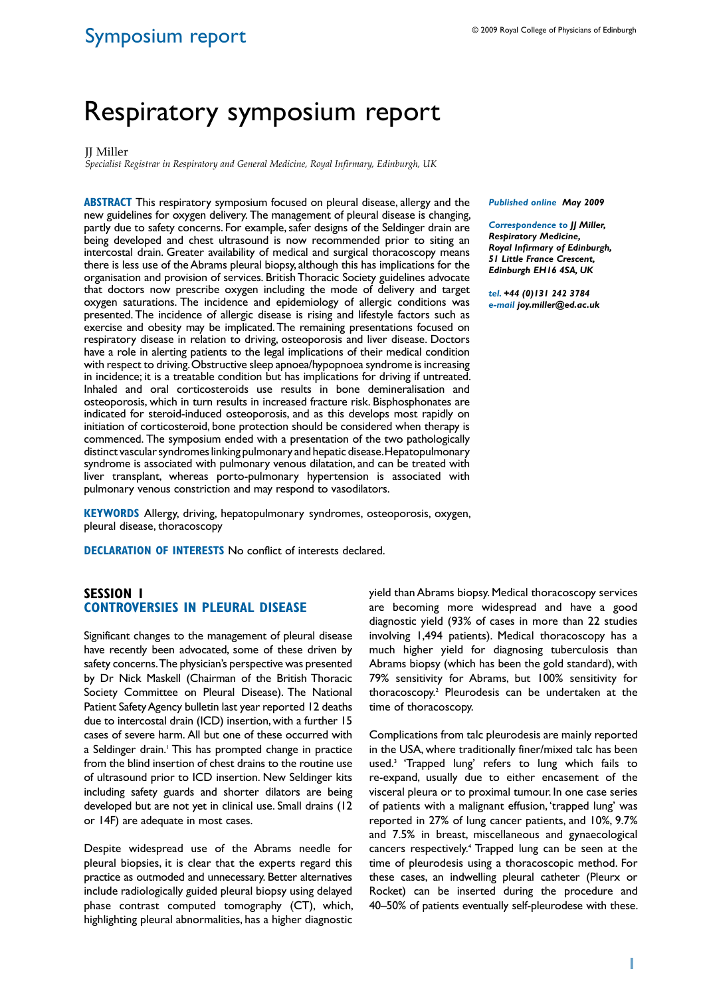# Symposium report

# Respiratory symposium report

#### **II** Miller

*Specialist Registrar in Respiratory and General Medicine, Royal Infirmary, Edinburgh, UK*

**ABSTRACT** This respiratory symposium focused on pleural disease, allergy and the new guidelines for oxygen delivery. The management of pleural disease is changing, partly due to safety concerns. For example, safer designs of the Seldinger drain are being developed and chest ultrasound is now recommended prior to siting an intercostal drain. Greater availability of medical and surgical thoracoscopy means there is less use of the Abrams pleural biopsy, although this has implications for the organisation and provision of services. British Thoracic Society guidelines advocate that doctors now prescribe oxygen including the mode of delivery and target oxygen saturations. The incidence and epidemiology of allergic conditions was presented. The incidence of allergic disease is rising and lifestyle factors such as exercise and obesity may be implicated. The remaining presentations focused on respiratory disease in relation to driving, osteoporosis and liver disease. Doctors have a role in alerting patients to the legal implications of their medical condition with respect to driving. Obstructive sleep apnoea/hypopnoea syndrome is increasing in incidence; it is a treatable condition but has implications for driving if untreated. Inhaled and oral corticosteroids use results in bone demineralisation and osteoporosis, which in turn results in increased fracture risk. Bisphosphonates are indicated for steroid-induced osteoporosis, and as this develops most rapidly on initiation of corticosteroid, bone protection should be considered when therapy is commenced. The symposium ended with a presentation of the two pathologically distinct vascular syndromes linking pulmonary and hepatic disease. Hepatopulmonary syndrome is associated with pulmonary venous dilatation, and can be treated with liver transplant, whereas porto-pulmonary hypertension is associated with pulmonary venous constriction and may respond to vasodilators.

**Keywords** Allergy, driving, hepatopulmonary syndromes, osteoporosis, oxygen, pleural disease, thoracoscopy

**Declaration of Interests** No conflict of interests declared.

## **SESSION 1 CONTROVERSIES IN PLEURAL DISEASE**

Significant changes to the management of pleural disease have recently been advocated, some of these driven by safety concerns. The physician's perspective was presented by Dr Nick Maskell (Chairman of the British Thoracic Society Committee on Pleural Disease). The National Patient Safety Agency bulletin last year reported 12 deaths due to intercostal drain (ICD) insertion, with a further 15 cases of severe harm. All but one of these occurred with a Seldinger drain.<sup>1</sup> This has prompted change in practice from the blind insertion of chest drains to the routine use of ultrasound prior to ICD insertion. New Seldinger kits including safety guards and shorter dilators are being developed but are not yet in clinical use. Small drains (12 or 14F) are adequate in most cases.

Despite widespread use of the Abrams needle for pleural biopsies, it is clear that the experts regard this practice as outmoded and unnecessary. Better alternatives include radiologically guided pleural biopsy using delayed phase contrast computed tomography (CT), which, highlighting pleural abnormalities, has a higher diagnostic

*Published online May 2009* 

*Correspondence to JJ Miller, Respiratory Medicine, Royal Infirmary of Edinburgh, 51 Little France Crescent, Edinburgh EH16 4SA, UK*

*tel. +44 (0)131 242 3784 e-mail joy.miller@ed.ac.uk* 

yield than Abrams biopsy. Medical thoracoscopy services are becoming more widespread and have a good diagnostic yield (93% of cases in more than 22 studies involving 1,494 patients). Medical thoracoscopy has a much higher yield for diagnosing tuberculosis than Abrams biopsy (which has been the gold standard), with 79% sensitivity for Abrams, but 100% sensitivity for thoracoscopy.2 Pleurodesis can be undertaken at the time of thoracoscopy.

Complications from talc pleurodesis are mainly reported in the USA, where traditionally finer/mixed talc has been used.3 'Trapped lung' refers to lung which fails to re-expand, usually due to either encasement of the visceral pleura or to proximal tumour. In one case series of patients with a malignant effusion, 'trapped lung' was reported in 27% of lung cancer patients, and 10%, 9.7% and 7.5% in breast, miscellaneous and gynaecological cancers respectively.<sup>4</sup> Trapped lung can be seen at the time of pleurodesis using a thoracoscopic method. For these cases, an indwelling pleural catheter (Pleurx or Rocket) can be inserted during the procedure and 40–50% of patients eventually self-pleurodese with these.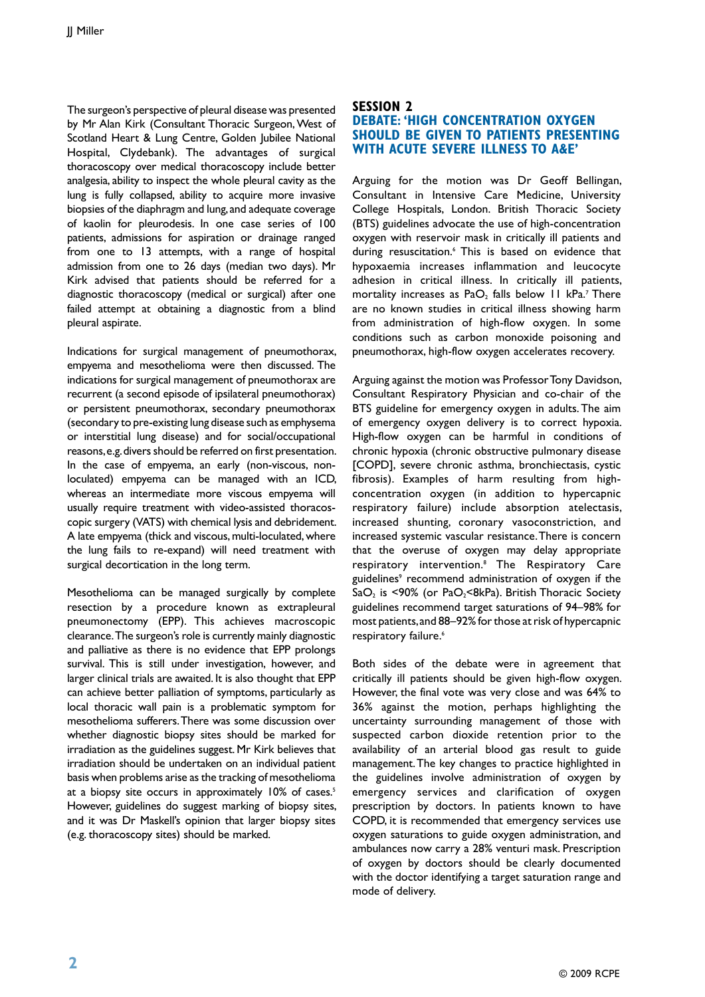The surgeon's perspective of pleural disease was presented by Mr Alan Kirk (Consultant Thoracic Surgeon, West of Scotland Heart & Lung Centre, Golden Jubilee National Hospital, Clydebank). The advantages of surgical thoracoscopy over medical thoracoscopy include better analgesia, ability to inspect the whole pleural cavity as the lung is fully collapsed, ability to acquire more invasive biopsies of the diaphragm and lung, and adequate coverage of kaolin for pleurodesis. In one case series of 100 patients, admissions for aspiration or drainage ranged from one to 13 attempts, with a range of hospital admission from one to 26 days (median two days). Mr Kirk advised that patients should be referred for a diagnostic thoracoscopy (medical or surgical) after one failed attempt at obtaining a diagnostic from a blind pleural aspirate.

Indications for surgical management of pneumothorax, empyema and mesothelioma were then discussed. The indications for surgical management of pneumothorax are recurrent (a second episode of ipsilateral pneumothorax) or persistent pneumothorax, secondary pneumothorax (secondary to pre-existing lung disease such as emphysema or interstitial lung disease) and for social/occupational reasons, e.g. divers should be referred on first presentation. In the case of empyema, an early (non-viscous, nonloculated) empyema can be managed with an ICD, whereas an intermediate more viscous empyema will usually require treatment with video-assisted thoracoscopic surgery (VATS) with chemical lysis and debridement. A late empyema (thick and viscous, multi-loculated, where the lung fails to re-expand) will need treatment with surgical decortication in the long term.

Mesothelioma can be managed surgically by complete resection by a procedure known as extrapleural pneumonectomy (EPP). This achieves macroscopic clearance. The surgeon's role is currently mainly diagnostic and palliative as there is no evidence that EPP prolongs survival. This is still under investigation, however, and larger clinical trials are awaited. It is also thought that EPP can achieve better palliation of symptoms, particularly as local thoracic wall pain is a problematic symptom for mesothelioma sufferers. There was some discussion over whether diagnostic biopsy sites should be marked for irradiation as the guidelines suggest. Mr Kirk believes that irradiation should be undertaken on an individual patient basis when problems arise as the tracking of mesothelioma at a biopsy site occurs in approximately 10% of cases.<sup>5</sup> However, guidelines do suggest marking of biopsy sites, and it was Dr Maskell's opinion that larger biopsy sites (e.g. thoracoscopy sites) should be marked.

# **SESSION 2 debate: 'HIGH CONCENTRATION OXYGEN SHOULD BE GIVEN TO PATIENTS PRESENTING WITH ACUTE SEVERE ILLNESS TO A&E'**

Arguing for the motion was Dr Geoff Bellingan, Consultant in Intensive Care Medicine, University College Hospitals, London. British Thoracic Society (BTS) guidelines advocate the use of high-concentration oxygen with reservoir mask in critically ill patients and during resuscitation.<sup>6</sup> This is based on evidence that hypoxaemia increases inflammation and leucocyte adhesion in critical illness. In critically ill patients, mortality increases as  $PaO<sub>2</sub>$  falls below 11 kPa.<sup>7</sup> There are no known studies in critical illness showing harm from administration of high-flow oxygen. In some conditions such as carbon monoxide poisoning and pneumothorax, high-flow oxygen accelerates recovery.

Arguing against the motion was Professor Tony Davidson, Consultant Respiratory Physician and co-chair of the BTS guideline for emergency oxygen in adults. The aim of emergency oxygen delivery is to correct hypoxia. High-flow oxygen can be harmful in conditions of chronic hypoxia (chronic obstructive pulmonary disease [COPD], severe chronic asthma, bronchiectasis, cystic fibrosis). Examples of harm resulting from highconcentration oxygen (in addition to hypercapnic respiratory failure) include absorption atelectasis, increased shunting, coronary vasoconstriction, and increased systemic vascular resistance. There is concern that the overuse of oxygen may delay appropriate respiratory intervention.8 The Respiratory Care guidelines<sup>9</sup> recommend administration of oxygen if the SaO<sub>2</sub> is <90% (or PaO<sub>2</sub><8kPa). British Thoracic Society guidelines recommend target saturations of 94–98% for most patients, and 88–92% for those at risk of hypercapnic respiratory failure.<sup>6</sup>

Both sides of the debate were in agreement that critically ill patients should be given high-flow oxygen. However, the final vote was very close and was 64% to 36% against the motion, perhaps highlighting the uncertainty surrounding management of those with suspected carbon dioxide retention prior to the availability of an arterial blood gas result to guide management. The key changes to practice highlighted in the guidelines involve administration of oxygen by emergency services and clarification of oxygen prescription by doctors. In patients known to have COPD, it is recommended that emergency services use oxygen saturations to guide oxygen administration, and ambulances now carry a 28% venturi mask. Prescription of oxygen by doctors should be clearly documented with the doctor identifying a target saturation range and mode of delivery.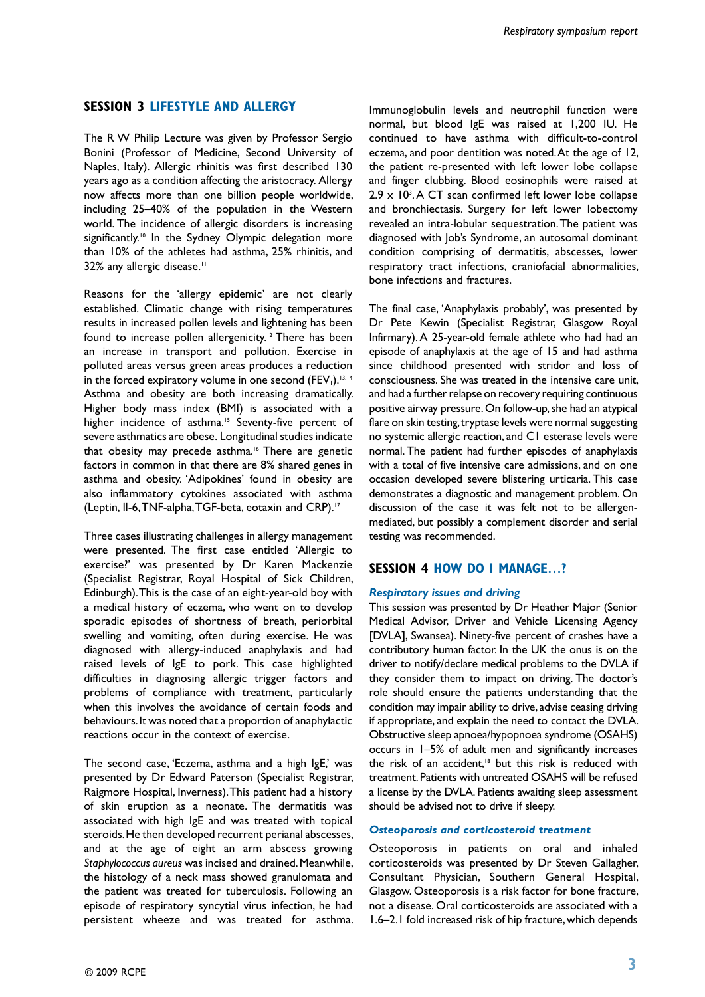## **SESSION 3 LIFESTYLE AND ALLERGY**

The R W Philip Lecture was given by Professor Sergio Bonini (Professor of Medicine, Second University of Naples, Italy). Allergic rhinitis was first described 130 years ago as a condition affecting the aristocracy. Allergy now affects more than one billion people worldwide, including 25–40% of the population in the Western world. The incidence of allergic disorders is increasing significantly.<sup>10</sup> In the Sydney Olympic delegation more than 10% of the athletes had asthma, 25% rhinitis, and 32% any allergic disease.<sup>11</sup>

Reasons for the 'allergy epidemic' are not clearly established. Climatic change with rising temperatures results in increased pollen levels and lightening has been found to increase pollen allergenicity.<sup>12</sup> There has been an increase in transport and pollution. Exercise in polluted areas versus green areas produces a reduction in the forced expiratory volume in one second (FEV<sub>1</sub>).<sup>13,14</sup> Asthma and obesity are both increasing dramatically. Higher body mass index (BMI) is associated with a higher incidence of asthma.<sup>15</sup> Seventy-five percent of severe asthmatics are obese. Longitudinal studies indicate that obesity may precede asthma.16 There are genetic factors in common in that there are 8% shared genes in asthma and obesity. 'Adipokines' found in obesity are also inflammatory cytokines associated with asthma (Leptin, Il-6, TNF-alpha, TGF-beta, eotaxin and CRP).17

Three cases illustrating challenges in allergy management were presented. The first case entitled 'Allergic to exercise?' was presented by Dr Karen Mackenzie (Specialist Registrar, Royal Hospital of Sick Children, Edinburgh). This is the case of an eight-year-old boy with a medical history of eczema, who went on to develop sporadic episodes of shortness of breath, periorbital swelling and vomiting, often during exercise. He was diagnosed with allergy-induced anaphylaxis and had raised levels of IgE to pork. This case highlighted difficulties in diagnosing allergic trigger factors and problems of compliance with treatment, particularly when this involves the avoidance of certain foods and behaviours. It was noted that a proportion of anaphylactic reactions occur in the context of exercise.

The second case, 'Eczema, asthma and a high IgE,' was presented by Dr Edward Paterson (Specialist Registrar, Raigmore Hospital, Inverness). This patient had a history of skin eruption as a neonate. The dermatitis was associated with high IgE and was treated with topical steroids. He then developed recurrent perianal abscesses, and at the age of eight an arm abscess growing *Staphylococcus aureus* was incised and drained. Meanwhile, the histology of a neck mass showed granulomata and the patient was treated for tuberculosis. Following an episode of respiratory syncytial virus infection, he had persistent wheeze and was treated for asthma.

Immunoglobulin levels and neutrophil function were normal, but blood IgE was raised at 1,200 IU. He continued to have asthma with difficult-to-control eczema, and poor dentition was noted. At the age of 12, the patient re-presented with left lower lobe collapse and finger clubbing. Blood eosinophils were raised at  $2.9 \times 10^{3}$ . A CT scan confirmed left lower lobe collapse and bronchiectasis. Surgery for left lower lobectomy revealed an intra-lobular sequestration. The patient was diagnosed with Job's Syndrome, an autosomal dominant condition comprising of dermatitis, abscesses, lower respiratory tract infections, craniofacial abnormalities, bone infections and fractures.

The final case, 'Anaphylaxis probably', was presented by Dr Pete Kewin (Specialist Registrar, Glasgow Royal Infirmary). A 25-year-old female athlete who had had an episode of anaphylaxis at the age of 15 and had asthma since childhood presented with stridor and loss of consciousness. She was treated in the intensive care unit, and had a further relapse on recovery requiring continuous positive airway pressure. On follow-up, she had an atypical flare on skin testing, tryptase levels were normal suggesting no systemic allergic reaction, and C1 esterase levels were normal. The patient had further episodes of anaphylaxis with a total of five intensive care admissions, and on one occasion developed severe blistering urticaria. This case demonstrates a diagnostic and management problem. On discussion of the case it was felt not to be allergenmediated, but possibly a complement disorder and serial testing was recommended.

# **SESSION 4 How do I manage…?**

#### *Respiratory issues and driving*

This session was presented by Dr Heather Major (Senior Medical Advisor, Driver and Vehicle Licensing Agency [DVLA], Swansea). Ninety-five percent of crashes have a contributory human factor. In the UK the onus is on the driver to notify/declare medical problems to the DVLA if they consider them to impact on driving. The doctor's role should ensure the patients understanding that the condition may impair ability to drive, advise ceasing driving if appropriate, and explain the need to contact the DVLA. Obstructive sleep apnoea/hypopnoea syndrome (OSAHS) occurs in 1–5% of adult men and significantly increases the risk of an accident.<sup>18</sup> but this risk is reduced with treatment. Patients with untreated OSAHS will be refused a license by the DVLA. Patients awaiting sleep assessment should be advised not to drive if sleepy.

#### *Osteoporosis and corticosteroid treatment*

Osteoporosis in patients on oral and inhaled corticosteroids was presented by Dr Steven Gallagher, Consultant Physician, Southern General Hospital, Glasgow. Osteoporosis is a risk factor for bone fracture, not a disease. Oral corticosteroids are associated with a 1.6–2.1 fold increased risk of hip fracture, which depends